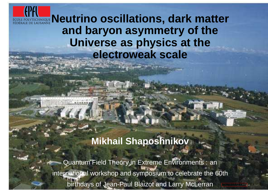#### **MINER <b>Neutrino oscillations, dark matter and baryon asymmetry of theUniverse as physics at theelectroweak scale**

#### **Mikhail Shaposhnikov**

Quantum Field Theory in Extreme Environments : an international workshop and symposium to celebrate the 60th birthdays of Jean-Paul Blaizot and Larry McLerranSaclay, 24 April 2009 – p. 1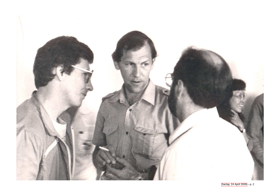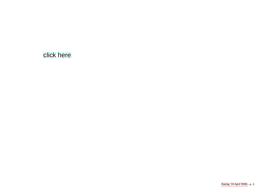#### [click](http://www.slac.stanford.edu/spires/find/hep/www?rawcmd=FIND+A+MCLERRAN+AND+A+SHAPOSHNIKOV+and+a+turok&FORMAT=www&SEQUENCE=) here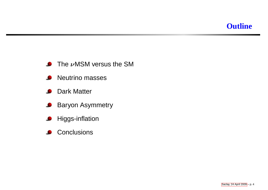#### **Outline**

- The  $\nu$ MSM versus the SM
- **O** Neutrino masses
- **O** Dark Matter
- **Baryon Asymmetry**
- **A** Higgs-inflation
- **Conclusions**  $\bullet$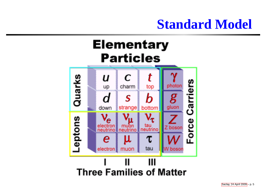## **Standard Model**

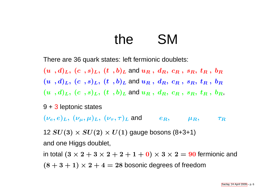#### theSM

There are 36 quark states: left fermionic doublets:

 $(u_-,d)_L,\ (c_-,s)_L,\ (t_-,b)_L$  and  $u_R\,,\ d_R,\ c_R\,,\ s_R,\ t_R\,,\ b_R$  $(u_-,d)_L,~(c_-,s)_L,~(t_-,b)_L$  and  $u_R~,~d_R,~c_R~,~s_R,~t_R~,~b_R$  $(u_-,d)_L,~(c_-,s)_L,~(t_-,b)_L$  and  $u_R~,~d_R,~c_R~,~s_R,~t_R~,~b_R,$ 

9 + 3 leptonic states

 $(\nu_e, e)_L,~(\nu_\mu, \mu)_L,~(\nu_\tau, \tau)_L$  and  $e_R, ~\mu_R, ~\tau_R$ 

12  $SU(3)\times SU(2)\times U(1)$  gauge bosons (8+3+1) and one Higgs doublet,

in total  $(3\times 2+3\times 2+2+1+0)\times 3\times 2=90$  fermionic and  $(8+3+1)\times 2+4=28$  bosonic degrees of freedom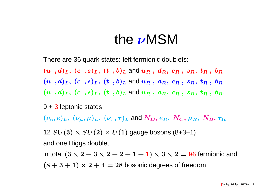# the  $\nu$ MSM

There are 36 quark states: left fermionic doublets:

 $(u_-,d)_L,\ (c_-,s)_L,\ (t_-,b)_L$  and  $u_R\,,\ d_R,\ c_R\,,\ s_R,\ t_R\,,\ b_R$  $(u_-,d)_L,~(c_-,s)_L,~(t_-,b)_L$  and  $u_R~,~d_R,~c_R~,~s_R,~t_R~,~b_R$  $(u_-,d)_L,~(c_-,s)_L,~(t_-,b)_L$  and  $u_R~,~d_R,~c_R~,~s_R,~t_R~,~b_R,$ 

#### 9 + 3 leptonic states

 $(\nu_e,e)_L,~(\nu_\mu,\mu)_L,~(\nu_\tau,\tau)_L$  and  $N_D,~e_R,~N_C,~\mu_R,~N_B,~\tau_R$ 

12  $SU(3)\times SU(2)\times U(1)$  gauge bosons (8+3+1) and one Higgs doublet,

in total  $(3\times 2+3\times 2+2+1+1)\times 3\times 2=96$  fermionic and  $(8+3+1)\times 2+4=28$  bosonic degrees of freedom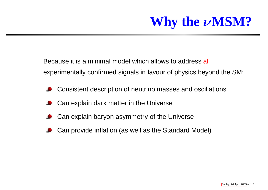# **Why the** <sup>ν</sup>**MSM?**

Because it is <sup>a</sup> minimal model which allows to address all experimentally confirmed signals in favour of physics beyond the SM:

- Consistent description of neutrino masses and oscillations
- Can explain dark matter in the Universe
- Can explain baryon asymmetry of the Universe
- Can provide inflation (as well as the Standard Model)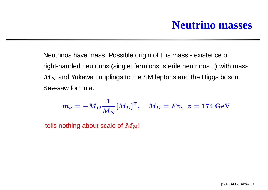#### **Neutrino masses**

Neutrinos have mass. Possible origin of this mass - existence of right-handed neutrinos (singlet fermions, sterile neutrinos...) with mass $M_N$  and Yukawa couplings to the SM leptons and the Higgs boson. See-saw formula:

$$
m_{\nu}=-M_{D}\frac{1}{M_{N}}[M_{D}]^{T},\quad M_{D}=Fv,\:\:v=174\:\textrm{GeV}
$$

tells nothing about scale of  $M_{\boldsymbol{N}}!$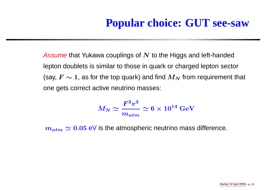#### **Popular choice: GUT see-saw**

Assume that Yukawa couplings of  $N$  to the Higgs and left-handed lepton doublets is similar to those in quark or charged lepton sector(say,  $F\sim1$ , as for the top quark) and find  $M_N$  from requirement that one gets correct active neutrino masses:

$$
M_N \simeq \frac{F^2 v^2}{m_{atm}} \simeq 6 \times 10^{14}~{\rm GeV}
$$

 $m_{atm}\simeq0.05$  eV is the atmospheric neutrino mass difference.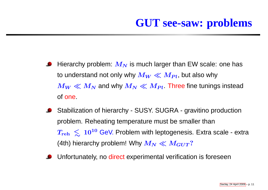- Hierarchy problem:  $M_N$  is much larger than EW scale: one has to understand not only why  $M_{\boldsymbol{W}}\ll M_{\boldsymbol{Pl}},$  but also why  $M_W \ll M_N$  and why  $M_N \ll M_{Pl}$  . Three fine tunings instead of one.
- Stabilization of hierarchy SUSY. SUGRA gravitino production problem. Reheating temperature must be smaller than $T_{\rm reh}\,\lesssim\,$  $\lesssim 10^{10}$  GeV. Problem with leptogenesis. Extra scale - extra<br>Netatory atobiom Wby M  $\approx M$ (4th) hierarchy problem! Why  $M_N \ll M_{GUT}$ ?
- Unfortunately, no <mark>direct</mark> experimental verification is foreseen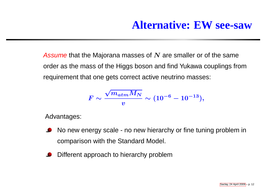### **Alternative: EW see-saw**

Assume that the Majorana masses of  $N$  are smaller or of the same order as the mass of the Higgs boson and find Yukawa couplings fromrequirement that one gets correct active neutrino masses:

$$
F \sim \frac{\sqrt{m_{atm} M_N}}{v} \sim (10^{-6} - 10^{-13}),
$$

Advantages:

- No new energy scale no new hierarchy or fine tuning problem incomparison with the Standard Model.
- Different approach to hierarchy problem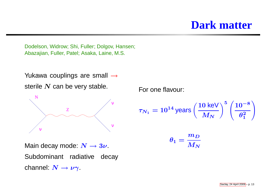### **Dark matter**

Dodelson, Widrow; Shi, Fuller; Dolgov, Hansen; Abazajian, Fuller, Patel; Asaka, Laine, M.S.

Yukawa couplings are small  $\rightarrow$ sterile  $N$  can be very stable.



Main decay mode:  $\boldsymbol{N\to3\nu}$  . Subdominant radiative decaychannel:  $N\to\nu\gamma$ .

For one flavour:

$$
\tau_{N_1} = 10^{14}\,\textrm{years} \left( \frac{10 \textrm{ keV}}{M_N} \right)^5 \left( \frac{10^{-8}}{\theta_1^2} \right)
$$

 $\bm{\theta_1}$ = $\boldsymbol{m}$  $\boldsymbol{D}$  $M_{N}$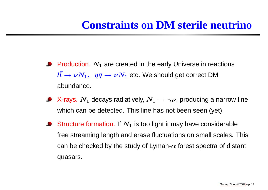#### **Constraints on DM sterile neutrino**

- Production.  $N_1$  are created in the early Universe in reactions  $l\bar{l}\to \nu N_1, ~~q\bar{q}\to \nu N_1$  etc. We should get correct DM abundance.
- X-rays.  $N_1$  decays radiatively,  $N_1\to\gamma\nu$ , producing a narrow line<br>which assets a detected. This line has not been asset (us) which can be detected. This line has not been seen (yet).
- Structure formation. If  $N_{1}$  is too light it may have considerable free streaming length and erase fluctuations on small scales. Thiscan be checked by the study of Lyman- $\alpha$  forest spectra of distant quasars.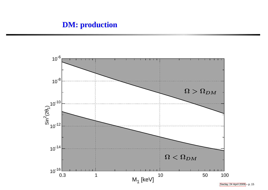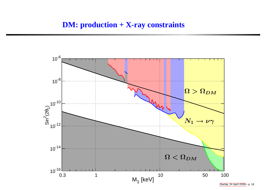

Saclay, <sup>24</sup> April 2009 – p. 16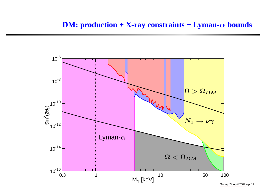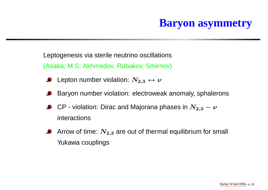### **Baryon asymmetry**

Leptogenesis via sterile neutrino oscillations

(Asaka, M.S; Akhmedov, Rubakov, Smirnov)

- Lepton number violation:  $N_{2,3} \leftrightarrow \nu$
- Baryon number violation: electroweak anomaly, sphalerons
- CP violation: Dirac and Majorana phases in  $N_{2,3}$ −νinteractions
- Arrow of time:  $N_{2,3}$  are out of thermal equilibrium for small Yukawa couplings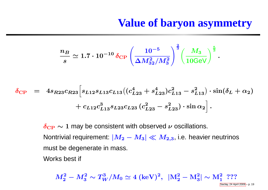#### **Value of baryon asymmetry**

.

$$
\frac{n_B}{s} \simeq 1.7 \cdot 10^{-10} \, \delta_{\text{CP}} \left(\frac{10^{-5}}{\Delta M_{32}^2/M_3^2}\right)^{\frac{2}{3}} \left(\frac{M_3}{10 \text{GeV}}\right)^{\frac{5}{3}}
$$

$$
\delta_{\rm CP} = 4s_{R23}c_{R23} \Big[ s_{L12}s_{L13}c_{L13} \big( (c_{L23}^4 + s_{L23}^4)c_{L13}^2 - s_{L13}^2 \big) \cdot \sin(\delta_L + \alpha_2) + c_{L12}c_{L13}^3 s_{L23}c_{L23} (c_{L23}^2 - s_{L23}^2) \cdot \sin \alpha_2 \Big].
$$

 $\delta_{\mathrm{CP}}\sim 1$  may be consistent with observed  $\nu$  oscillations. Nontrivial requirement:  $|\overline{M_{2}}|$ − must be degenerate in mass.  $M_3|\ll M_{2,3}$ , i.e. heavier neutrinos

Works best if

$$
M_2^2 - M_3^2 \sim T_W^3/M_0 \simeq 4 ~({\rm keV})^2, ~~ |{\rm M}^2_2 - {\rm M}^2_3| \sim {\rm M}_1^2 ~ ? ? ?
$$
<sub>3cclay, 24 April 2009 - p. 19</sub>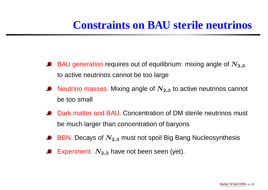#### **Constraints on BAU sterile neutrinos**

- BAU generation requires out of equilibrium: mixing angle of  $N_{2,3}$ to active neutrinos cannot be too large
- Neutrino masses. Mixing angle of  $N_{2,3}$  to active neutrinos cannot be too small
- Dark matter and BAU. Concentration of DM sterile neutrinos must be much larger than concentration of baryons
- BBN. Decays of  $N_{2,3}$  must not spoil Big Bang Nucleosynthesis
- Experiment.  $N_{2,3}$  have not been seen (yet).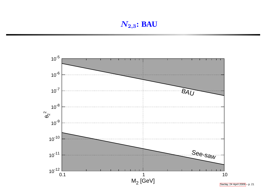$N_{2,3}$ : **BAU** 

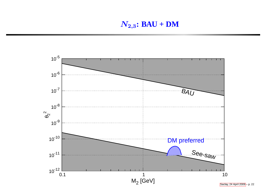$N_{2,3}$ : **BAU** + **DM** 

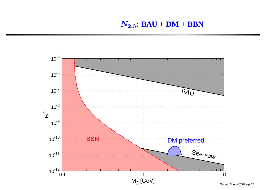$N_{2,3}$ **: BAU** + **DM** + **BBN** 



Saclay, <sup>24</sup> April 2009 – p. 23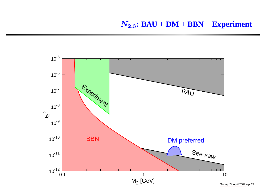#### $N_{2,3}$ : **BAU** + **DM** + **BBN** + **Experiment**

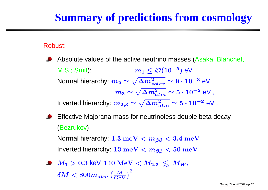### **Summary of predictions from cosmology**

#### Robust:

- Absolute values of the active neutrino masses (Asaka, Blanchet,  $M.S.: Smit.$  $\boldsymbol{m_1}$ Normal hierarchy:  $m_2 \simeq \sqrt{\Delta m_{solar}^2} \simeq 9 \cdot 1$  $\frac{1}{\sqrt{2}} \leq \mathcal{O}(10^{-5})$  $^5)$  eV  $m_3 \simeq \sqrt{\Delta m^2_{atm}}$  .  $_{solar}^{2}\simeq9\cdot10^{-3}$  eV , Normal hierarchy : Inverted hierarchy:  $m_{2,3} \simeq \sqrt{\Delta m_{atm}^2}$  $\frac{2}{a}_{tm}\simeq5\cdot10^{-2}$  eV ,  $_{atm}^{2}\simeq5\cdot10^{-2}$  eV .
- **Effective Majorana mass for neutrinoless double beta decay** (Bezrukov)

Normal hierarchy:  $1.3\; {\rm meV} < m_{\beta\beta} < 3.4\; {\rm meV}$ Inverted hierarchy:  $13\ {\rm meV} < m_{\beta\beta} < 50\ {\rm meV}$ 

 $M_1>0.3$  keV,  $140\;\text{MeV} < M_{2,3} \, \lesssim \, M_W$  $\delta M < 800 m_{atm} \left( \frac{M}{\rm{GeV}} \right)$  $\frac{v}{v}$  $\frac{M}{\rm{GeV}}\Big)^{\mathbf{2}}$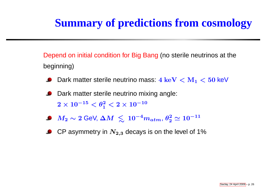### **Summary of predictions from cosmology**

Depend on initial condition for Big Bang (no sterile neutrinos at the beginning)

- Dark matter sterile neutrino mass:  $4~\mathrm{keV} < \mathrm{M_1} < 50~\mathrm{keV}$
- Dark matter sterile neutrino mixing angle:  $2\times 10^{-15} < \theta_1^2$  $\frac{2}{1} < 2 \times 10^{-10}$
- $M_{2}\sim2$  GeV,  $\Delta M~\lesssim$  $\lesssim 10^{-4}$  ${}^4m_{atm}, \, \theta_2^2$  $\frac{2}{2} \simeq 10^{-11}$
- CP asymmetry in  $N_{2,3}$  decays is on the level of 1%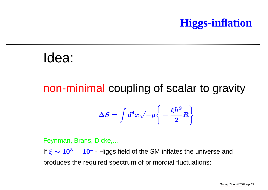### **Higgs-inflation**

## Idea:

### non-minimal coupling of scalar to gravity

$$
\Delta S = \int d^4x \sqrt{-g} \bigg\{ - {\xi h^2 \over 2} R \bigg\}
$$

Feynman, Brans, Dicke,...

If  $\xi \sim 10^3-10^4$  - Higgs field of the SM inflates the universe and produces the required spectrum of primordial fluctuations: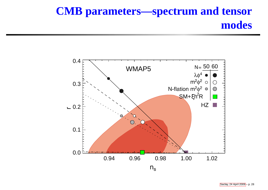### **CMB parameters—spectrum and tensormodes**

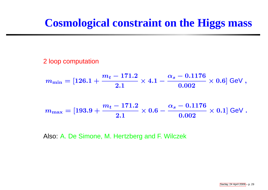#### **Cosmological constraint on the Higgs mass**

2 loop computation

$$
m_{\min} = [126.1 + \frac{m_t - 171.2}{2.1} \times 4.1 - \frac{\alpha_s - 0.1176}{0.002} \times 0.6] \text{ GeV} \ ,
$$

$$
m_{\rm max} = [193.9 + \frac{m_t - 171.2}{2.1} \times 0.6 - \frac{\alpha_s - 0.1176}{0.002} \times 0.1] \text{ GeV}\ .
$$

Also: A. De Simone, M. Hertzberg and F. Wilczek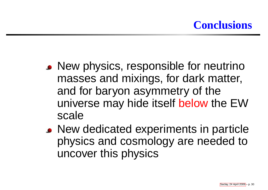### **Conclusions**

- New physics, responsible for neutrino masses and mixings, for dark matter, and for baryon asymmetry of theuniverse may hide itself below the EW<br>seale scale
- New dedicated experiments in particle physics and cosmology are needed touncover this physics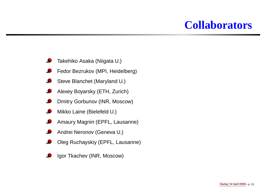#### **Collaborators**



- Fedor Bezrukov (MPI, Heidelberg)
- Steve Blanchet (Maryland U.)
- Alexey Boyarsky (ETH, Zurich)
- Dmitry Gorbunov (INR, Moscow)
- Mikko Laine (Bielefeld U.)
- Amaury Magnin (EPFL, Lausanne)
- Andrei Neronov (Geneva U.)
- Oleg Ruchayskiy (EPFL, Lausanne)
- Igor Tkachev (INR, Moscow)